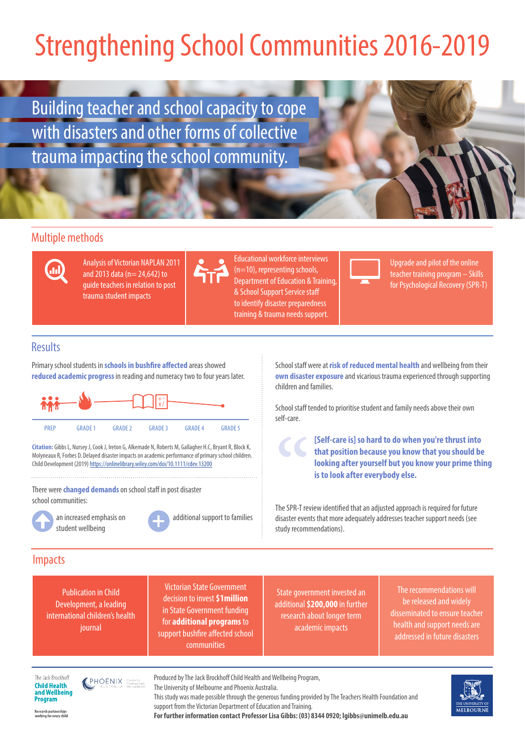## Strengthening School Communities 2016-2019

Building teacher and school capacity to cope with disasters and other forms of collective trauma impacting the school community.

### Multiple methods



Analysis of Victorian NAPLAN 2011 and 2013 data (n= 24,642) to guide teachers in relation to post trauma student impacts



Educational workforce interviews (n=10), representing schools, Department of Education & Training, & School Support Service staff to identify disaster preparedness training & trauma needs support.



Upgrade and pilot of the online teacher training program – Skills for Psychological Recovery (SPR-T)

### **Results**

Primary school students in **schools in bushfire affected** areas showed **reduced academic progress** in reading and numeracy two to four years later.



**Citation:** Gibbs L, Nursey J, Cook J, Ireton G, Alkemade N, Roberts M, Gallagher H.C, Bryant R, Block K, Molyneaux R, Forbes D. Delayed disaster impacts on academic performance of primary school children. Child Development (2019) https://onlinelibrary.wiley.com/doi/10.1111/cdev.13200

There were **changed demands** on school staff in post disaster school communities:



an increased emphasis on student wellbeing



School staff were at **risk of reduced mental health** and wellbeing from their **own disaster exposure** and vicarious trauma experienced through supporting children and families.

School staff tended to prioritise student and family needs above their own self-care.

> **[Self-care is] so hard to do when you're thrust into that position because you know that you should be looking after yourself but you know your prime thing is to look after everybody else.**

The SPR-T review identified that an adjusted approach is required for future disaster events that more adequately addresses teacher support needs (see study recommendations). The SPR-T rev<br>The SPR-T rev

#### Impacts

Publication in Child Development, a leading international children's health journal

Victorian State Government decision to invest **\$1million** in State Government funding for **additional programs** to support bushfire affected school communities

State government invested an additional **\$200,000** in further research about longer term academic impacts

The recommendations will be released and widely disseminated to ensure teacher health and support needs are addressed in future disasters

The Jack Brockhoff **Child Health** and Wellbeing **Program** 

**PHOENIX** 

Produced by The Jack Brockhoff Child Health and Wellbeing Program,

The University of Melbourne and Phoenix Australia.

This study was made possible through the generous funding provided by The Teachers Health Foundation and support from the Victorian Department of Education and Training.

**For further information contact Professor Lisa Gibbs: (03) 8344 0920; lgibbs@unimelb.edu.au**



Research partnerships<br>working for every chilc